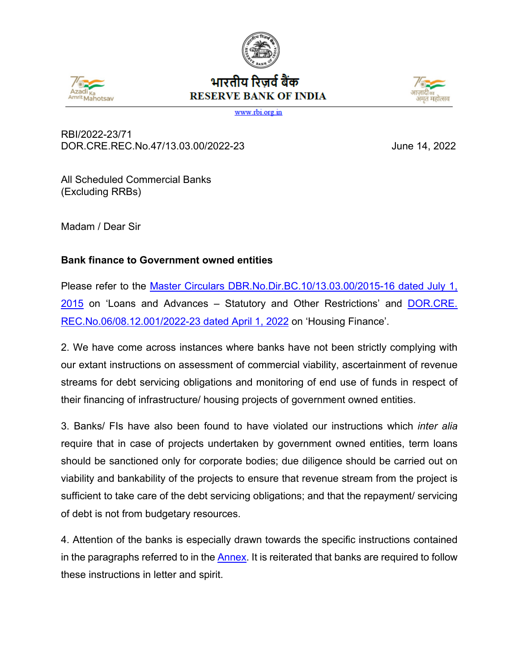





www.rbi.org.in

RBI/2022-23/71 DOR.CRE.REC.No.47/13.03.00/2022-23 June 14, 2022

All Scheduled Commercial Banks (Excluding RRBs)

Madam / Dear Sir

## **Bank finance to Government owned entities**

Please refer to the Master Circulars DBR.No.Dir.BC.10/13.03.00/2015-16 dated July 1, [2015](https://www.rbi.org.in/Scripts/NotificationUser.aspx?Id=9902&Mode=0) on 'Loans and Advances – Statutory and Other Restrictions' and [DOR.CRE.](https://www.rbi.org.in/Scripts/NotificationUser.aspx?Id=12282&Mode=0) [REC.No.06/08.12.001/2022-23 dated April 1, 2022](https://www.rbi.org.in/Scripts/NotificationUser.aspx?Id=12282&Mode=0) on 'Housing Finance'.

2. We have come across instances where banks have not been strictly complying with our extant instructions on assessment of commercial viability, ascertainment of revenue streams for debt servicing obligations and monitoring of end use of funds in respect of their financing of infrastructure/ housing projects of government owned entities.

3. Banks/ FIs have also been found to have violated our instructions which *inter alia* require that in case of projects undertaken by government owned entities, term loans should be sanctioned only for corporate bodies; due diligence should be carried out on viability and bankability of the projects to ensure that revenue stream from the project is sufficient to take care of the debt servicing obligations; and that the repayment/ servicing of debt is not from budgetary resources.

4. Attention of the banks is especially drawn towards the specific instructions contained in the paragraphs referred to in the [Annex.](#page-2-0) It is reiterated that banks are required to follow these instructions in letter and spirit.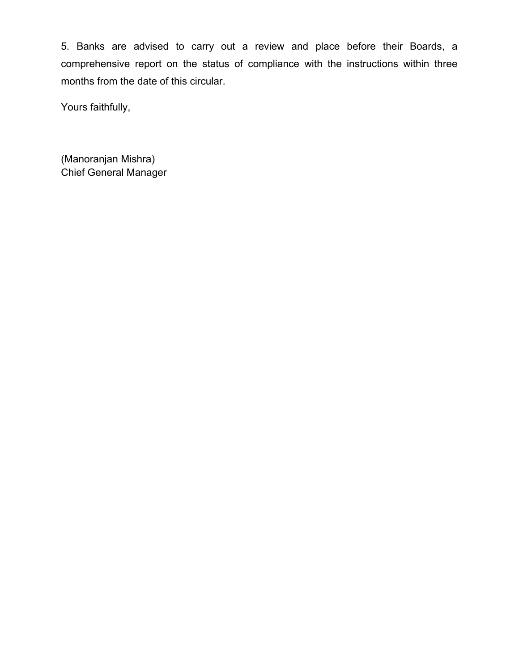5. Banks are advised to carry out a review and place before their Boards, a comprehensive report on the status of compliance with the instructions within three months from the date of this circular.

Yours faithfully,

(Manoranjan Mishra) Chief General Manager